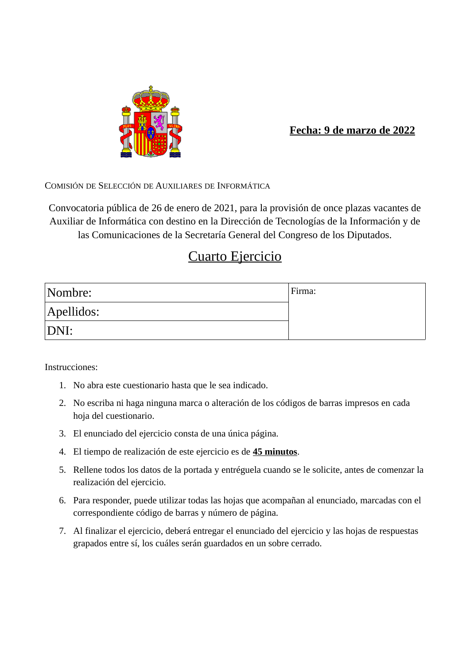

#### **Fecha: 9 de marzo de 2022**

COMISIÓN DE SELECCIÓN DE AUXILIARES DE INFORMÁTICA

Convocatoria pública de 26 de enero de 2021, para la provisión de once plazas vacantes de Auxiliar de Informática con destino en la Dirección de Tecnologías de la Información y de las Comunicaciones de la Secretaría General del Congreso de los Diputados.

## Cuarto Ejercicio

| Nombre:    | Firma: |
|------------|--------|
| Apellidos: |        |
| DNI:       |        |

Instrucciones:

- 1. No abra este cuestionario hasta que le sea indicado.
- 2. No escriba ni haga ninguna marca o alteración de los códigos de barras impresos en cada hoja del cuestionario.
- 3. El enunciado del ejercicio consta de una única página.
- 4. El tiempo de realización de este ejercicio es de **45 minutos**.
- 5. Rellene todos los datos de la portada y entréguela cuando se le solicite, antes de comenzar la realización del ejercicio.
- 6. Para responder, puede utilizar todas las hojas que acompañan al enunciado, marcadas con el correspondiente código de barras y número de página.
- 7. Al finalizar el ejercicio, deberá entregar el enunciado del ejercicio y las hojas de respuestas grapados entre sí, los cuáles serán guardados en un sobre cerrado.